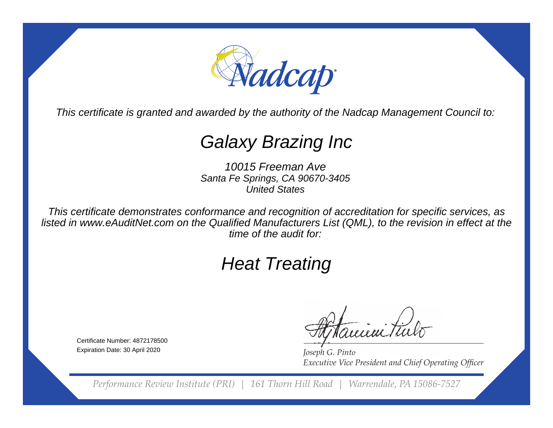

This certificate is granted and awarded by the authority of the Nadcap Management Council to:

# Galaxy Brazing Inc

10015 Freeman Ave Santa Fe Springs, CA 90670-3405United States

This certificate demonstrates conformance and recognition of accreditation for specific services, as listed in www.eAuditNet.com on the Qualified Manufacturers List (QML), to the revision in effect at thetime of the audit for:

# Heat Treating

Certificate Number: 4872178500Expiration Date: 30 April 2020

e ieni Tin

*Joseph G. Pinto* **Executive Vice President and Chief Operating Officer** 

*Performance Review Institute (PRI) | 161 Thorn Hill Road | Warrendale, PA 15086-7527*